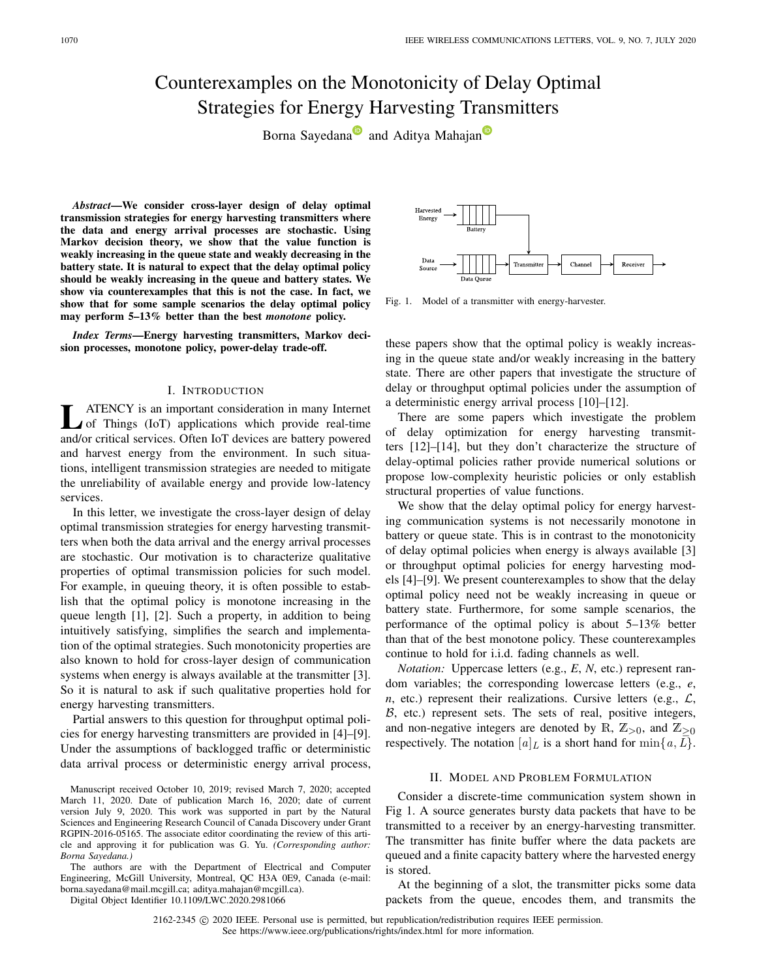# Counterexamples on the Monotonicity of Delay Optimal Strategies for Energy Harvesting Transmitters

Born[a](https://orcid.org/0000-0003-1347-7089) Sayeda[n](https://orcid.org/0000-0001-8125-1191)a<sup>n</sup> and Aditya Mahajan<sup>n</sup>

*Abstract***—We consider cross-layer design of delay optimal transmission strategies for energy harvesting transmitters where the data and energy arrival processes are stochastic. Using Markov decision theory, we show that the value function is weakly increasing in the queue state and weakly decreasing in the battery state. It is natural to expect that the delay optimal policy should be weakly increasing in the queue and battery states. We show via counterexamples that this is not the case. In fact, we show that for some sample scenarios the delay optimal policy may perform 5–13% better than the best** *monotone* **policy.**

*Index Terms***—Energy harvesting transmitters, Markov decision processes, monotone policy, power-delay trade-off.**

#### I. INTRODUCTION

**L** ATENCY is an important consideration in many Internet<br>of Things (IoT) applications which provide real-time and/or critical services. Often IoT devices are battery powered and harvest energy from the environment. In such situations, intelligent transmission strategies are needed to mitigate the unreliability of available energy and provide low-latency services.

In this letter, we investigate the cross-layer design of delay optimal transmission strategies for energy harvesting transmitters when both the data arrival and the energy arrival processes are stochastic. Our motivation is to characterize qualitative properties of optimal transmission policies for such model. For example, in queuing theory, it is often possible to establish that the optimal policy is monotone increasing in the queue length [\[1\]](#page-4-0), [\[2\]](#page-4-1). Such a property, in addition to being intuitively satisfying, simplifies the search and implementation of the optimal strategies. Such monotonicity properties are also known to hold for cross-layer design of communication systems when energy is always available at the transmitter [\[3\]](#page-4-2). So it is natural to ask if such qualitative properties hold for energy harvesting transmitters.

Partial answers to this question for throughput optimal policies for energy harvesting transmitters are provided in [\[4\]](#page-4-3)–[\[9\]](#page-4-4). Under the assumptions of backlogged traffic or deterministic data arrival process or deterministic energy arrival process,

The authors are with the Department of Electrical and Computer Engineering, McGill University, Montreal, QC H3A 0E9, Canada (e-mail: borna.sayedana@mail.mcgill.ca; aditya.mahajan@mcgill.ca).

Digital Object Identifier 10.1109/LWC.2020.2981066

Harvested Channel Receiver Transmitte

<span id="page-0-0"></span>Fig. 1. Model of a transmitter with energy-harvester.

these papers show that the optimal policy is weakly increasing in the queue state and/or weakly increasing in the battery state. There are other papers that investigate the structure of delay or throughput optimal policies under the assumption of a deterministic energy arrival process [\[10\]](#page-4-5)–[\[12\]](#page-4-6).

There are some papers which investigate the problem of delay optimization for energy harvesting transmitters [\[12\]](#page-4-6)–[\[14\]](#page-4-7), but they don't characterize the structure of delay-optimal policies rather provide numerical solutions or propose low-complexity heuristic policies or only establish structural properties of value functions.

We show that the delay optimal policy for energy harvesting communication systems is not necessarily monotone in battery or queue state. This is in contrast to the monotonicity of delay optimal policies when energy is always available [\[3\]](#page-4-2) or throughput optimal policies for energy harvesting models [\[4\]](#page-4-3)–[\[9\]](#page-4-4). We present counterexamples to show that the delay optimal policy need not be weakly increasing in queue or battery state. Furthermore, for some sample scenarios, the performance of the optimal policy is about 5–13% better than that of the best monotone policy. These counterexamples continue to hold for i.i.d. fading channels as well.

*Notation:* Uppercase letters (e.g., *E*, *N*, etc.) represent random variables; the corresponding lowercase letters (e.g., *e*,  $n$ , etc.) represent their realizations. Cursive letters (e.g.,  $\mathcal{L}$ ,  $B$ , etc.) represent sets. The sets of real, positive integers, and non-negative integers are denoted by R,  $\mathbb{Z}_{>0}$ , and  $\mathbb{Z}_{\geq 0}$ respectively. The notation  $[a]_L$  is a short hand for  $\min\{a, L\}$ .

## II. MODEL AND PROBLEM FORMULATION

<span id="page-0-1"></span>Consider a discrete-time communication system shown in Fig [1.](#page-0-0) A source generates bursty data packets that have to be transmitted to a receiver by an energy-harvesting transmitter. The transmitter has finite buffer where the data packets are queued and a finite capacity battery where the harvested energy is stored.

At the beginning of a slot, the transmitter picks some data packets from the queue, encodes them, and transmits the

2162-2345 © 2020 IEEE. Personal use is permitted, but republication/redistribution requires IEEE permission. See https://www.ieee.org/publications/rights/index.html for more information.

Manuscript received October 10, 2019; revised March 7, 2020; accepted March 11, 2020. Date of publication March 16, 2020; date of current version July 9, 2020. This work was supported in part by the Natural Sciences and Engineering Research Council of Canada Discovery under Grant RGPIN-2016-05165. The associate editor coordinating the review of this article and approving it for publication was G. Yu. *(Corresponding author: Borna Sayedana.)*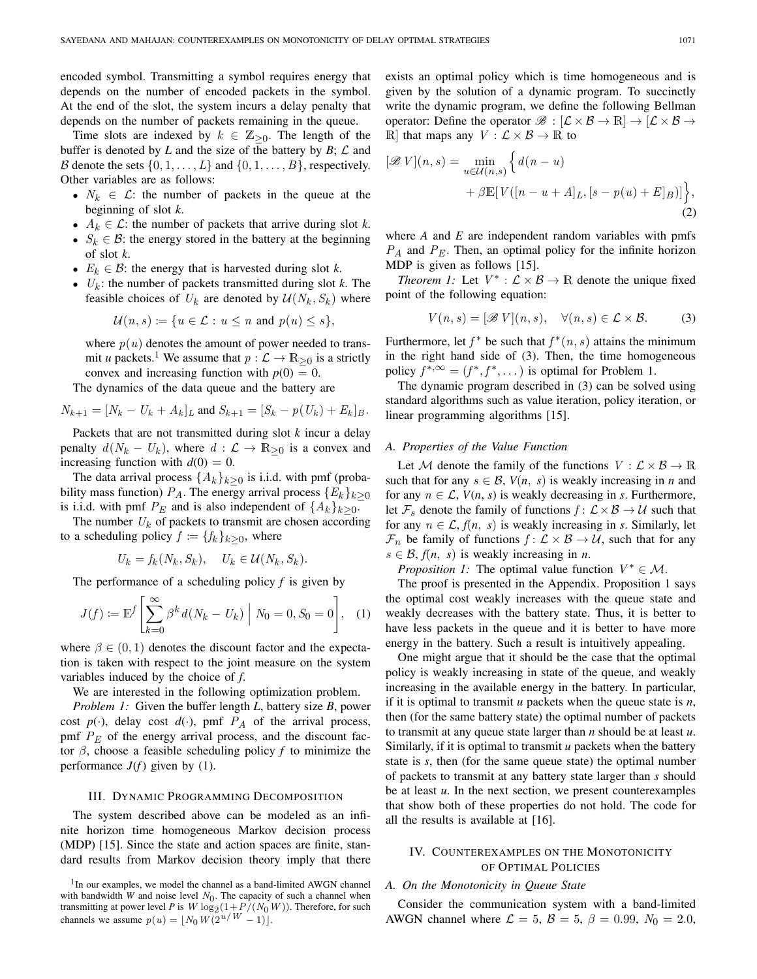encoded symbol. Transmitting a symbol requires energy that depends on the number of encoded packets in the symbol. At the end of the slot, the system incurs a delay penalty that depends on the number of packets remaining in the queue.

Time slots are indexed by  $k \in \mathbb{Z}_{\geq 0}$ . The length of the buffer is denoted by  $L$  and the size of the battery by  $B$ ;  $\mathcal L$  and B denote the sets  $\{0, 1, \ldots, L\}$  and  $\{0, 1, \ldots, B\}$ , respectively. Other variables are as follows:

- $N_k \in \mathcal{L}$ : the number of packets in the queue at the beginning of slot *k*.
- $A_k \in \mathcal{L}$ : the number of packets that arrive during slot *k*.
- $S_k \in \mathcal{B}$ : the energy stored in the battery at the beginning of slot *k*.
- $E_k \in \mathcal{B}$ : the energy that is harvested during slot *k*.
- $U_k$ : the number of packets transmitted during slot *k*. The feasible choices of  $U_k$  are denoted by  $\mathcal{U}(N_k, S_k)$  where

$$
\mathcal{U}(n,s) := \{ u \in \mathcal{L} : u \leq n \text{ and } p(u) \leq s \},\
$$

where  $p(u)$  denotes the amount of power needed to transmit *u* packets.<sup>1</sup> We assume that  $p : \mathcal{L} \to \mathbb{R}_{\geq 0}$  is a strictly convex and increasing function with  $p(0) = 0$ .

The dynamics of the data queue and the battery are

$$
N_{k+1} = [N_k - U_k + A_k]_L
$$
 and  $S_{k+1} = [S_k - p(U_k) + E_k]_B$ .

Packets that are not transmitted during slot *k* incur a delay penalty  $d(N_k - U_k)$ , where  $d : \mathcal{L} \to \mathbb{R}_{\geq 0}$  is a convex and increasing function with  $d(0) = 0$ .

The data arrival process  $\{A_k\}_{k>0}$  is i.i.d. with pmf (probability mass function)  $P_A$ . The energy arrival process  ${E_k}_{k>0}$ is i.i.d. with pmf  $P_E$  and is also independent of  $\{A_k\}_{k>0}$ .

The number  $U_k$  of packets to transmit are chosen according to a scheduling policy  $f := \{f_k\}_{k>0}$ , where

$$
U_k = f_k(N_k, S_k), \quad U_k \in \mathcal{U}(N_k, S_k).
$$

The performance of a scheduling policy *f* is given by

<span id="page-1-1"></span>
$$
J(f) := \mathbb{E}^f \left[ \sum_{k=0}^{\infty} \beta^k d(N_k - U_k) \middle| N_0 = 0, S_0 = 0 \right], \quad (1)
$$

where  $\beta \in (0, 1)$  denotes the discount factor and the expectation is taken with respect to the joint measure on the system variables induced by the choice of *f*.

We are interested in the following optimization problem.

*Problem 1:* Given the buffer length *L*, battery size *B*, power cost  $p(\cdot)$ , delay cost  $d(\cdot)$ , pmf  $P_A$  of the arrival process, pmf  $P<sub>E</sub>$  of the energy arrival process, and the discount factor β, choose a feasible scheduling policy *f* to minimize the performance  $J(f)$  given by [\(1\)](#page-1-1).

## III. DYNAMIC PROGRAMMING DECOMPOSITION

The system described above can be modeled as an infinite horizon time homogeneous Markov decision process (MDP) [\[15\]](#page-4-8). Since the state and action spaces are finite, standard results from Markov decision theory imply that there exists an optimal policy which is time homogeneous and is given by the solution of a dynamic program. To succinctly write the dynamic program, we define the following Bellman operator: Define the operator  $\mathscr{B} : [\mathcal{L} \times \mathcal{B} \to \mathbb{R}] \to [\mathcal{L} \times \mathcal{B} \to \mathcal{A}]$ R] that maps any  $V : \mathcal{L} \times \mathcal{B} \to \mathbb{R}$  to

$$
[\mathscr{B} V](n, s) = \min_{u \in \mathcal{U}(n, s)} \left\{ d(n - u) + \beta \mathbb{E}[V([n - u + A]_L, [s - p(u) + E]_B)] \right\},\tag{2}
$$

where *A* and *E* are independent random variables with pmfs *PA* and *PE* . Then, an optimal policy for the infinite horizon MDP is given as follows [\[15\]](#page-4-8).

*Theorem 1:* Let  $V^*$  :  $\mathcal{L} \times \mathcal{B} \rightarrow \mathbb{R}$  denote the unique fixed point of the following equation:

<span id="page-1-2"></span>
$$
V(n,s) = [\mathscr{B} V](n,s), \quad \forall (n,s) \in \mathcal{L} \times \mathcal{B}.
$$
 (3)

Furthermore, let  $f^*$  be such that  $f^*(n, s)$  attains the minimum in the right hand side of [\(3\)](#page-1-2). Then, the time homogeneous policy  $f^{*,\infty} = (f^*, f^*, \dots)$  is optimal for Problem [1.](#page-1-3)

The dynamic program described in [\(3\)](#page-1-2) can be solved using standard algorithms such as value iteration, policy iteration, or linear programming algorithms [\[15\]](#page-4-8).

# *A. Properties of the Value Function*

Let M denote the family of the functions  $V : \mathcal{L} \times \mathcal{B} \to \mathbb{R}$ such that for any  $s \in \mathcal{B}$ ,  $V(n, s)$  is weakly increasing in *n* and for any  $n \in \mathcal{L}$ ,  $V(n, s)$  is weakly decreasing in *s*. Furthermore, let  $\mathcal{F}_s$  denote the family of functions  $f: \mathcal{L} \times \mathcal{B} \to \mathcal{U}$  such that for any  $n \in \mathcal{L}$ ,  $f(n, s)$  is weakly increasing in *s*. Similarly, let  $\mathcal{F}_n$  be family of functions  $f: \mathcal{L} \times \mathcal{B} \to \mathcal{U}$ , such that for any  $s \in \mathcal{B}$ ,  $f(n, s)$  is weakly increasing in *n*.

<span id="page-1-4"></span>*Proposition 1:* The optimal value function  $V^* \in \mathcal{M}$ .

The proof is presented in the Appendix. Proposition [1](#page-1-4) says the optimal cost weakly increases with the queue state and weakly decreases with the battery state. Thus, it is better to have less packets in the queue and it is better to have more energy in the battery. Such a result is intuitively appealing.

<span id="page-1-3"></span>One might argue that it should be the case that the optimal policy is weakly increasing in state of the queue, and weakly increasing in the available energy in the battery. In particular, if it is optimal to transmit *u* packets when the queue state is *n*, then (for the same battery state) the optimal number of packets to transmit at any queue state larger than *n* should be at least *u*. Similarly, if it is optimal to transmit *u* packets when the battery state is *s*, then (for the same queue state) the optimal number of packets to transmit at any battery state larger than *s* should be at least *u*. In the next section, we present counterexamples that show both of these properties do not hold. The code for all the results is available at [\[16\]](#page-4-9).

# IV. COUNTEREXAMPLES ON THE MONOTONICITY OF OPTIMAL POLICIES

# <span id="page-1-5"></span>*A. On the Monotonicity in Queue State*

Consider the communication system with a band-limited AWGN channel where  $\mathcal{L} = 5$ ,  $\mathcal{B} = 5$ ,  $\beta = 0.99$ ,  $N_0 = 2.0$ ,

<span id="page-1-0"></span><sup>&</sup>lt;sup>1</sup>In our examples, we model the channel as a band-limited AWGN channel with bandwidth *W* and noise level  $N_0$ . The capacity of such a channel when transmitting at power level *P* is  $W \log_2(1+P^f(N_0W))$ . Therefore, for such channels we assume  $p(u) = \lfloor N_0 W(2^{u/W} - 1) \rfloor$ .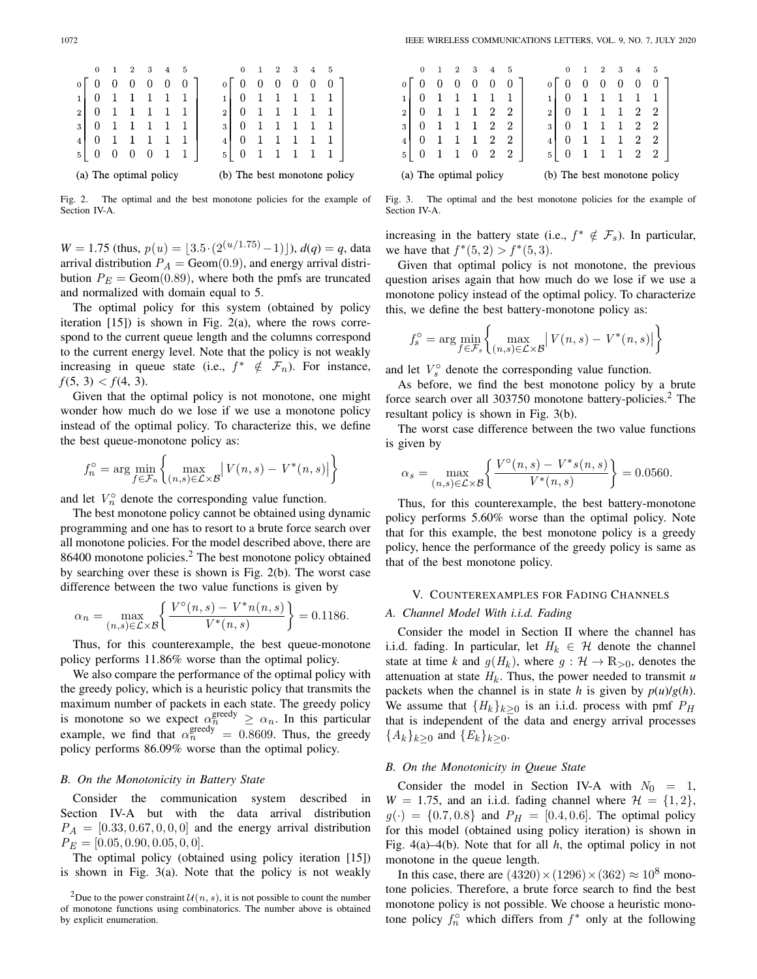|                        | $\Omega$ |  | 2. | 3 | 4 | 5 |  |                | 0 | 2 | 3. | -4 | 5                            |
|------------------------|----------|--|----|---|---|---|--|----------------|---|---|----|----|------------------------------|
| 0                      |          |  |    |   |   |   |  |                |   |   |    |    |                              |
|                        |          |  |    |   |   |   |  |                |   |   |    |    |                              |
| $\overline{2}$         |          |  |    |   |   |   |  | $\overline{2}$ |   |   |    |    |                              |
| 3                      |          |  |    |   |   |   |  | 3              |   |   |    |    |                              |
| $\overline{4}$         |          |  |    |   |   |   |  | $\overline{4}$ |   |   |    |    |                              |
| 5                      | U        |  |    |   |   |   |  | 5.             | 0 |   |    |    |                              |
| (a) The optimal policy |          |  |    |   |   |   |  |                |   |   |    |    | (b) The best monotone policy |

<span id="page-2-0"></span>Fig. 2. The optimal and the best monotone policies for the example of Section [IV-A.](#page-1-5)

 $W = 1.75$  (thus,  $p(u) = (3.5 \cdot (2^{(u/1.75)} - 1))$ ,  $d(q) = q$ , data arrival distribution  $P_A = \text{Geom}(0.9)$ , and energy arrival distribution  $P_E = \text{Geom}(0.89)$ , where both the pmfs are truncated and normalized with domain equal to 5.

The optimal policy for this system (obtained by policy iteration  $[15]$  is shown in Fig. [2\(](#page-2-0)a), where the rows correspond to the current queue length and the columns correspond to the current energy level. Note that the policy is not weakly increasing in queue state (i.e.,  $f^* \notin \mathcal{F}_n$ ). For instance,  $f(5, 3) < f(4, 3).$ 

Given that the optimal policy is not monotone, one might wonder how much do we lose if we use a monotone policy instead of the optimal policy. To characterize this, we define the best queue-monotone policy as:

$$
f_n^{\circ} = \arg\min_{f \in \mathcal{F}_n} \left\{ \max_{(n,s) \in \mathcal{L} \times \mathcal{B}} \left| V(n,s) - V^*(n,s) \right| \right\}
$$

and let  $V_n^{\circ}$  denote the corresponding value function.

The best monotone policy cannot be obtained using dynamic programming and one has to resort to a brute force search over all monotone policies. For the model described above, there are 86400 monotone policies.<sup>2</sup> The best monotone policy obtained by searching over these is shown is Fig. [2\(](#page-2-0)b). The worst case difference between the two value functions is given by

$$
\alpha_n = \max_{(n,s)\in\mathcal{L}\times\mathcal{B}} \left\{ \frac{V^{\circ}(n,s) - V^* n(n,s)}{V^*(n,s)} \right\} = 0.1186.
$$

Thus, for this counterexample, the best queue-monotone policy performs 11.86% worse than the optimal policy.

We also compare the performance of the optimal policy with the greedy policy, which is a heuristic policy that transmits the maximum number of packets in each state. The greedy policy is monotone so we expect  $\alpha_n^{\text{greedy}} \ge \alpha_n$ . In this particular example, we find that  $\alpha_n^{\text{greedy}} = 0.8609$ . Thus, the greedy policy performs 86.09% worse than the optimal policy policy performs 86.09% worse than the optimal policy.

#### <span id="page-2-4"></span>*B. On the Monotonicity in Battery State*

Consider the communication system described in Section [IV-A](#page-1-5) but with the data arrival distribution  $P_A = [0.33, 0.67, 0, 0, 0]$  and the energy arrival distribution  $P_E = [0.05, 0.90, 0.05, 0, 0].$ 

The optimal policy (obtained using policy iteration [\[15\]](#page-4-8)) is shown in Fig. [3\(](#page-2-2)a). Note that the policy is not weakly

|                        | $\overline{0}$ |  | $\overline{2}$ |  | $3 \quad 4$    | - 5            |  |                | $\Omega$ | 2 | $3 -$ | 4              | - 5                          |  |
|------------------------|----------------|--|----------------|--|----------------|----------------|--|----------------|----------|---|-------|----------------|------------------------------|--|
|                        |                |  |                |  | 0              |                |  |                |          |   |       | 0              |                              |  |
| $\mathbf{1}$           |                |  |                |  |                |                |  | 1              |          |   |       |                |                              |  |
| $\overline{2}$         |                |  |                |  |                | $2\quad 2$     |  | $\overline{2}$ |          |   |       | $\overline{2}$ | $\overline{2}$               |  |
| 3                      |                |  |                |  | $\overline{2}$ | -2             |  | 3              |          |   |       | $\overline{2}$ | $\mathbf{2}$                 |  |
| 4                      |                |  |                |  | $\overline{2}$ | $\overline{2}$ |  | 4              | $\theta$ |   |       | $2\quad 2$     |                              |  |
| 5                      |                |  |                |  | 2              | $\overline{2}$ |  | 5              | U        |   |       | $\overline{2}$ |                              |  |
| (a) The optimal policy |                |  |                |  |                |                |  |                |          |   |       |                | (b) The best monotone policy |  |

<span id="page-2-2"></span>Fig. 3. The optimal and the best monotone policies for the example of Section [IV-A.](#page-1-5)

increasing in the battery state (i.e.,  $f^* \notin \mathcal{F}_s$ ). In particular, we have that  $f^*(5, 2) > f^*(5, 3)$ .

Given that optimal policy is not monotone, the previous question arises again that how much do we lose if we use a monotone policy instead of the optimal policy. To characterize this, we define the best battery-monotone policy as:

$$
f_s^{\circ} = \arg\min_{f \in \mathcal{F}_s} \left\{ \max_{(n,s) \in \mathcal{L} \times \mathcal{B}} \left| V(n,s) - V^*(n,s) \right| \right\}
$$

and let  $V_s^{\circ}$  denote the corresponding value function.

As before, we find the best monotone policy by a brute force search over all 303750 monotone battery-policies.<sup>2</sup> The resultant policy is shown in Fig. [3\(](#page-2-2)b).

The worst case difference between the two value functions is given by

$$
\alpha_s = \max_{(n,s)\in\mathcal{L}\times\mathcal{B}} \left\{ \frac{V^{\circ}(n,s) - V^*s(n,s)}{V^*(n,s)} \right\} = 0.0560.
$$

Thus, for this counterexample, the best battery-monotone policy performs 5.60% worse than the optimal policy. Note that for this example, the best monotone policy is a greedy policy, hence the performance of the greedy policy is same as that of the best monotone policy.

# V. COUNTEREXAMPLES FOR FADING CHANNELS

## *A. Channel Model With i.i.d. Fading*

Consider the model in Section [II](#page-0-1) where the channel has i.i.d. fading. In particular, let  $H_k \in \mathcal{H}$  denote the channel state at time *k* and  $g(H_k)$ , where  $g: \mathcal{H} \to \mathbb{R}_{>0}$ , denotes the attenuation at state  $H_k$ . Thus, the power needed to transmit *u* packets when the channel is in state *h* is given by  $p(u)/g(h)$ . We assume that  ${H_k}_{k>0}$  is an i.i.d. process with pmf  $P_H$ that is independent of the data and energy arrival processes  ${A_k}_{k>0}$  and  ${E_k}_{k>0}$ .

## <span id="page-2-3"></span>*B. On the Monotonicity in Queue State*

Consider the model in Section [IV-A](#page-1-5) with  $N_0 = 1$ ,  $W = 1.75$ , and an i.i.d. fading channel where  $\mathcal{H} = \{1, 2\}$ ,  $g(\cdot) = \{0.7, 0.8\}$  and  $P_H = [0.4, 0.6]$ . The optimal policy for this model (obtained using policy iteration) is shown in Fig. [4\(](#page-3-0)a)[–4\(](#page-3-0)b). Note that for all *h*, the optimal policy in not monotone in the queue length.

In this case, there are  $(4320) \times (1296) \times (362) \approx 10^8$  monotone policies. Therefore, a brute force search to find the best monotone policy is not possible. We choose a heuristic monotone policy  $f_n^{\circ}$  which differs from  $f^*$  only at the following

<span id="page-2-1"></span><sup>&</sup>lt;sup>2</sup>Due to the power constraint  $\mathcal{U}(n, s)$ , it is not possible to count the number of monotone functions using combinatorics. The number above is obtained by explicit enumeration.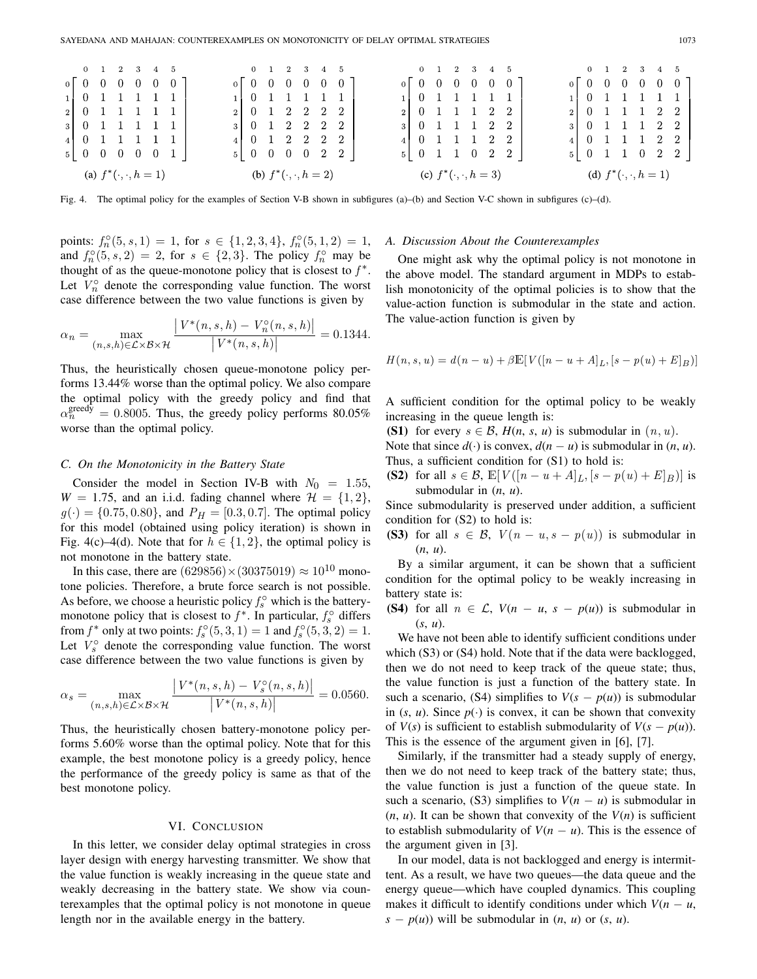| (a) $f^*(\cdot, \cdot, h = 1)$                          |  |  |  |  | (b) $f^*(\cdot, \cdot, h = 2)$ |  |  |                                                             |  |  |  | (c) $f^*(\cdot, \cdot, h = 3)$                         |  |                                                                       |  |  |  |  |                                                                                  | (d) $f^*(\cdot, \cdot, h = 1)$ |  |  |                                                             |  |  |  |  |
|---------------------------------------------------------|--|--|--|--|--------------------------------|--|--|-------------------------------------------------------------|--|--|--|--------------------------------------------------------|--|-----------------------------------------------------------------------|--|--|--|--|----------------------------------------------------------------------------------|--------------------------------|--|--|-------------------------------------------------------------|--|--|--|--|
| $5 \begin{bmatrix} 0 & 0 & 0 & 0 & 0 & 1 \end{bmatrix}$ |  |  |  |  |                                |  |  |                                                             |  |  |  |                                                        |  |                                                                       |  |  |  |  | $5 \begin{array}{ rrrrrr} 5 & 0 & 1 & 1 & 0 & 2 & 2 \end{array}$                 |                                |  |  | $5 \begin{array}{cccccc} 0 & 1 & 1 & 0 & 2 & 2 \end{array}$ |  |  |  |  |
| $4 \ 0 \ 1 \ 1 \ 1 \ 1 \ 1$                             |  |  |  |  |                                |  |  | $4 \begin{array}{cccccc} 0 & 1 & 2 & 2 & 2 & 2 \end{array}$ |  |  |  |                                                        |  |                                                                       |  |  |  |  | $4 \begin{array}{ rrrrrrrrrrrrrrrrrrrrrrrrrr} 0 & 1 & 1 & 1 & 2 & 2 \end{array}$ |                                |  |  | $4 \ 0 \ 1 \ 1 \ 1 \ 2 \ 2$                                 |  |  |  |  |
| 3 0 1 1 1 1 1 1                                         |  |  |  |  |                                |  |  | $3 \begin{bmatrix} 0 & 1 & 2 & 2 & 2 & 2 \end{bmatrix}$     |  |  |  |                                                        |  | $3 \begin{array}{ rrrrrrrrrrr} 3 & 0 & 1 & 1 & 1 & 2 & 2 \end{array}$ |  |  |  |  |                                                                                  |                                |  |  | 3 0 1 1 1 2 2                                               |  |  |  |  |
| $2 \begin{bmatrix} 0 & 1 & 1 & 1 & 1 & 1 \end{bmatrix}$ |  |  |  |  |                                |  |  | 2 0 1 2 2 2 2                                               |  |  |  |                                                        |  | $2 \begin{bmatrix} 0 & 1 & 1 & 1 & 2 & 2 \end{bmatrix}$               |  |  |  |  |                                                                                  |                                |  |  | $2 \begin{bmatrix} 0 & 1 & 1 & 1 & 2 & 2 \end{bmatrix}$     |  |  |  |  |
| $1 \ 0 \ 1 \ 1 \ 1 \ 1 \ 1$                             |  |  |  |  |                                |  |  |                                                             |  |  |  | $1 \ 0 \ 1 \ 1 \ 1 \ 1 \ 1$                            |  |                                                                       |  |  |  |  | $1 \ 0 \ 1 \ 1 \ 1 \ 1 \ 1$                                                      |                                |  |  | $1 \t0 \t1 \t1 \t1 \t1$                                     |  |  |  |  |
| $0\begin{bmatrix} 0 & 0 & 0 & 0 & 0 & 0 \end{bmatrix}$  |  |  |  |  |                                |  |  |                                                             |  |  |  | $0\begin{bmatrix} 0 & 0 & 0 & 0 & 0 & 0 \end{bmatrix}$ |  |                                                                       |  |  |  |  | $0\begin{bmatrix} 0 & 0 & 0 & 0 & 0 & 0 \end{bmatrix}$                           |                                |  |  | $0$ $0$ $0$ $0$ $0$ $0$ $0$                                 |  |  |  |  |
| 0 1 2 3 4 5                                             |  |  |  |  |                                |  |  |                                                             |  |  |  | 0 1 2 3 4 5                                            |  |                                                                       |  |  |  |  |                                                                                  | 0 1 2 3 4 5 0 1 2 3 4 5        |  |  |                                                             |  |  |  |  |

<span id="page-3-0"></span>Fig. 4. The optimal policy for the examples of Section [V-B](#page-2-3) shown in subfigures (a)–(b) and Section [V-C](#page-3-1) shown in subfigures (c)–(d).

points:  $f_n^{\circ}(5, s, 1) = 1$ , for  $s \in \{1, 2, 3, 4\}$ ,  $f_n^{\circ}(5, 1, 2) = 1$ , and  $f^{\circ}(5, s, 2) = 2$  for  $s \in \{2, 3\}$ . The policy  $f^{\circ}$  may be and  $f_n^{\circ}(5, s, 2) = 2$ , for  $s \in \{2, 3\}$ . The policy  $f_n^{\circ}$  may be thought of as the queue-monotone policy that is closest to  $f^*$ thought of as the queue-monotone policy that is closest to  $f^*$ . Let  $V_n^{\circ}$  denote the corresponding value function. The worst case difference between the two value functions is given by

$$
\alpha_n = \max_{(n,s,h)\in\mathcal{L}\times\mathcal{B}\times\mathcal{H}} \frac{|V^*(n,s,h) - V_n^{\circ}(n,s,h)|}{|V^*(n,s,h)|} = 0.1344.
$$

Thus, the heuristically chosen queue-monotone policy performs 13.44% worse than the optimal policy. We also compare the optimal policy with the greedy policy and find that  $\alpha_n^{\text{greedy}} = 0.8005$ . Thus, the greedy policy performs 80.05% worse than the optimal policy.

## <span id="page-3-1"></span>*C. On the Monotonicity in the Battery State*

Consider the model in Section [IV-B](#page-2-4) with  $N_0 = 1.55$ ,  $W = 1.75$ , and an i.i.d. fading channel where  $\mathcal{H} = \{1, 2\}$ ,  $g(\cdot) = \{0.75, 0.80\}$ , and  $P_H = [0.3, 0.7]$ . The optimal policy for this model (obtained using policy iteration) is shown in Fig. [4\(](#page-3-0)c)[–4\(](#page-3-0)d). Note that for  $h \in \{1, 2\}$ , the optimal policy is not monotone in the battery state.

In this case, there are  $(629856) \times (30375019) \approx 10^{10}$  monotone policies. Therefore, a brute force search is not possible. As before, we choose a heuristic policy  $f_s^{\circ}$  which is the batterymonotone policy that is closest to  $f^*$ . In particular,  $f_s^{\circ}$  differs from *f*<sup>\*</sup> only at two points:  $f_s^{\circ}(5,3,1) = 1$  and  $f_s^{\circ}(5,3,2) = 1$ .<br>Let  $V^{\circ}$  denote the corresponding value function. The worst Let  $V_s^{\circ}$  denote the corresponding value function. The worst case difference between the two value functions is given by

$$
\alpha_s = \max_{(n,s,h)\in\mathcal{L}\times\mathcal{B}\times\mathcal{H}} \frac{|V^*(n,s,h) - V_s^{\circ}(n,s,h)|}{|V^*(n,s,h)|} = 0.0560.
$$

Thus, the heuristically chosen battery-monotone policy performs 5.60% worse than the optimal policy. Note that for this example, the best monotone policy is a greedy policy, hence the performance of the greedy policy is same as that of the best monotone policy.

#### VI. CONCLUSION

In this letter, we consider delay optimal strategies in cross layer design with energy harvesting transmitter. We show that the value function is weakly increasing in the queue state and weakly decreasing in the battery state. We show via counterexamples that the optimal policy is not monotone in queue length nor in the available energy in the battery.

#### *A. Discussion About the Counterexamples*

One might ask why the optimal policy is not monotone in the above model. The standard argument in MDPs to establish monotonicity of the optimal policies is to show that the value-action function is submodular in the state and action. The value-action function is given by

$$
H(n, s, u) = d(n - u) + \beta \mathbb{E}[V([n - u + A]_L, [s - p(u) + E]_B)]
$$

A sufficient condition for the optimal policy to be weakly increasing in the queue length is:

**(S1)** for every  $s \in \mathcal{B}$ ,  $H(n, s, u)$  is submodular in  $(n, u)$ .

Note that since  $d(\cdot)$  is convex,  $d(n - u)$  is submodular in  $(n, u)$ . Thus, a sufficient condition for (S1) to hold is:

**(S2)** for all  $s \in \mathcal{B}$ ,  $\mathbb{E}[V([n - u + A]_L, [s - p(u) + E]_B)]$  is submodular in (*n*, *u*).

Since submodularity is preserved under addition, a sufficient condition for (S2) to hold is:

**(S3)** for all  $s \in \mathcal{B}$ ,  $V(n - u, s - p(u))$  is submodular in (*n*, *u*).

By a similar argument, it can be shown that a sufficient condition for the optimal policy to be weakly increasing in battery state is:

**(S4)** for all  $n \in \mathcal{L}$ ,  $V(n - u, s - p(u))$  is submodular in (*s*, *u*).

We have not been able to identify sufficient conditions under which (S3) or (S4) hold. Note that if the data were backlogged, then we do not need to keep track of the queue state; thus, the value function is just a function of the battery state. In such a scenario, (S4) simplifies to  $V(s - p(u))$  is submodular in  $(s, u)$ . Since  $p(\cdot)$  is convex, it can be shown that convexity of  $V(s)$  is sufficient to establish submodularity of  $V(s - p(u))$ . This is the essence of the argument given in [\[6\]](#page-4-10), [\[7\]](#page-4-11).

Similarly, if the transmitter had a steady supply of energy, then we do not need to keep track of the battery state; thus, the value function is just a function of the queue state. In such a scenario, (S3) simplifies to  $V(n - u)$  is submodular in  $(n, u)$ . It can be shown that convexity of the  $V(n)$  is sufficient to establish submodularity of  $V(n - u)$ . This is the essence of the argument given in [\[3\]](#page-4-2).

In our model, data is not backlogged and energy is intermittent. As a result, we have two queues—the data queue and the energy queue—which have coupled dynamics. This coupling makes it difficult to identify conditions under which  $V(n - u,$  $s - p(u)$  will be submodular in  $(n, u)$  or  $(s, u)$ .